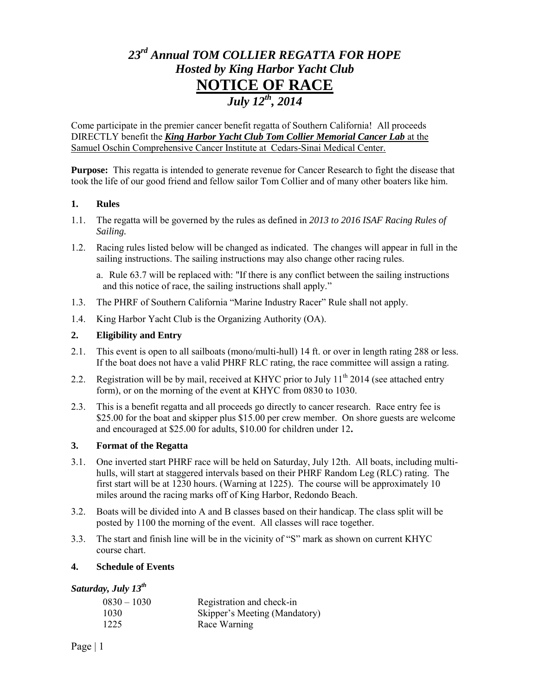# *23rd Annual TOM COLLIER REGATTA FOR HOPE Hosted by King Harbor Yacht Club*  **NOTICE OF RACE**  *July 12th, 2014*

Come participate in the premier cancer benefit regatta of Southern California! All proceeds DIRECTLY benefit the *King Harbor Yacht Club Tom Collier Memorial Cancer Lab* at the Samuel Oschin Comprehensive Cancer Institute at Cedars-Sinai Medical Center.

**Purpose:** This regatta is intended to generate revenue for Cancer Research to fight the disease that took the life of our good friend and fellow sailor Tom Collier and of many other boaters like him.

## **1. Rules**

- 1.1. The regatta will be governed by the rules as defined in *2013 to 2016 ISAF Racing Rules of Sailing.*
- 1.2. Racing rules listed below will be changed as indicated. The changes will appear in full in the sailing instructions. The sailing instructions may also change other racing rules.
	- a. Rule 63.7 will be replaced with: "If there is any conflict between the sailing instructions and this notice of race, the sailing instructions shall apply."
- 1.3. The PHRF of Southern California "Marine Industry Racer" Rule shall not apply.
- 1.4. King Harbor Yacht Club is the Organizing Authority (OA).

## **2. Eligibility and Entry**

- 2.1. This event is open to all sailboats (mono/multi-hull) 14 ft. or over in length rating 288 or less. If the boat does not have a valid PHRF RLC rating, the race committee will assign a rating.
- 2.2. Registration will be by mail, received at KHYC prior to July  $11<sup>th</sup>$  2014 (see attached entry form), or on the morning of the event at KHYC from 0830 to 1030.
- 2.3. This is a benefit regatta and all proceeds go directly to cancer research. Race entry fee is \$25.00 for the boat and skipper plus \$15.00 per crew member. On shore guests are welcome and encouraged at \$25.00 for adults, \$10.00 for children under 12**.**

## **3. Format of the Regatta**

- 3.1. One inverted start PHRF race will be held on Saturday, July 12th. All boats, including multihulls, will start at staggered intervals based on their PHRF Random Leg (RLC) rating. The first start will be at 1230 hours. (Warning at 1225). The course will be approximately 10 miles around the racing marks off of King Harbor, Redondo Beach.
- 3.2. Boats will be divided into A and B classes based on their handicap. The class split will be posted by 1100 the morning of the event. All classes will race together.
- 3.3. The start and finish line will be in the vicinity of "S" mark as shown on current KHYC course chart.

### **4. Schedule of Events**

## *Saturday, July 13th*

| $0830 - 1030$ | Registration and check-in     |
|---------------|-------------------------------|
| 1030          | Skipper's Meeting (Mandatory) |
| 1225          | Race Warning                  |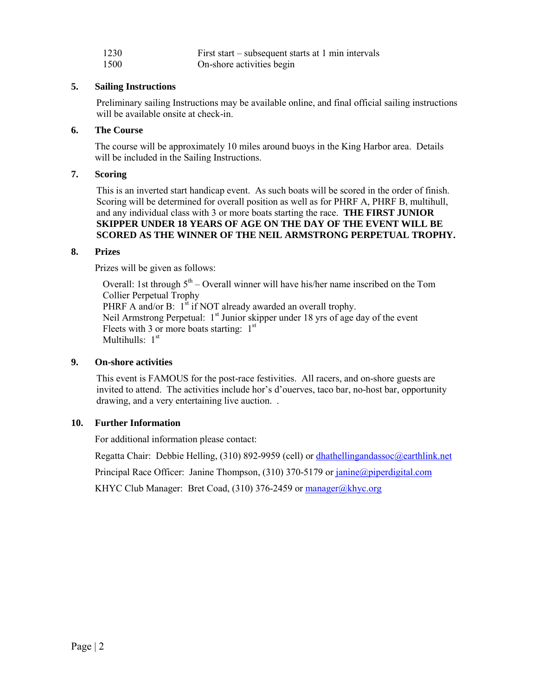| 1230 | First start – subsequent starts at 1 min intervals |
|------|----------------------------------------------------|
| 1500 | On-shore activities begin                          |

#### **5. Sailing Instructions**

Preliminary sailing Instructions may be available online, and final official sailing instructions will be available onsite at check-in.

## **6. The Course**

The course will be approximately 10 miles around buoys in the King Harbor area. Details will be included in the Sailing Instructions.

## **7. Scoring**

This is an inverted start handicap event. As such boats will be scored in the order of finish. Scoring will be determined for overall position as well as for PHRF A, PHRF B, multihull, and any individual class with 3 or more boats starting the race. **THE FIRST JUNIOR SKIPPER UNDER 18 YEARS OF AGE ON THE DAY OF THE EVENT WILL BE SCORED AS THE WINNER OF THE NEIL ARMSTRONG PERPETUAL TROPHY.** 

### **8. Prizes**

Prizes will be given as follows:

Overall: 1st through  $5<sup>th</sup>$  – Overall winner will have his/her name inscribed on the Tom Collier Perpetual Trophy PHRF A and/or B:  $1^{st}$  if NOT already awarded an overall trophy. Neil Armstrong Perpetual: 1<sup>st</sup> Junior skipper under 18 yrs of age day of the event Fleets with 3 or more boats starting:  $1<sup>st</sup>$ Multihulls:  $1<sup>st</sup>$ 

### **9. On-shore activities**

This event is FAMOUS for the post-race festivities. All racers, and on-shore guests are invited to attend. The activities include hor's d'ouerves, taco bar, no-host bar, opportunity drawing, and a very entertaining live auction. .

## **10. Further Information**

For additional information please contact:

Regatta Chair: Debbie Helling, (310) 892-9959 (cell) o[r dhathellingandassoc@earthlink.net](mailto:dhathellingandassoc@earthlink.net) 

Principal Race Officer: Janine Thompson, (310) 370-5179 or janine@piperdigital.com

KHYC Club Manager: Bret Coad, (310) 376-2459 or [manager@khyc.org](mailto:manager@khyc.org)